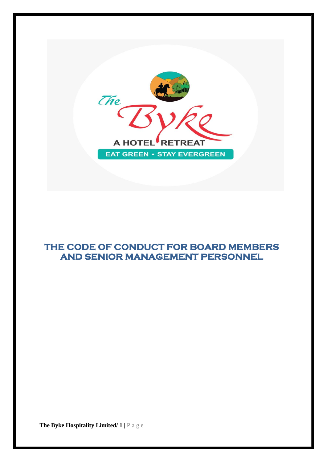

# **THE CODE OF CONDUCT FOR BOARD MEMBERS AND SENIOR MANAGEMENT PERSONNEL**

**The Byke Hospitality Limited/ 1 |** P a g e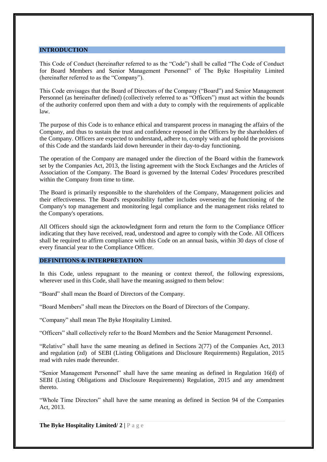#### **INTRODUCTION**

This Code of Conduct (hereinafter referred to as the "Code") shall be called "The Code of Conduct for Board Members and Senior Management Personnel" of The Byke Hospitality Limited (hereinafter referred to as the "Company").

This Code envisages that the Board of Directors of the Company ("Board") and Senior Management Personnel (as hereinafter defined) (collectively referred to as "Officers") must act within the bounds of the authority conferred upon them and with a duty to comply with the requirements of applicable law.

The purpose of this Code is to enhance ethical and transparent process in managing the affairs of the Company, and thus to sustain the trust and confidence reposed in the Officers by the shareholders of the Company. Officers are expected to understand, adhere to, comply with and uphold the provisions of this Code and the standards laid down hereunder in their day-to-day functioning.

The operation of the Company are managed under the direction of the Board within the framework set by the Companies Act, 2013, the listing agreement with the Stock Exchanges and the Articles of Association of the Company. The Board is governed by the Internal Codes/ Procedures prescribed within the Company from time to time.

The Board is primarily responsible to the shareholders of the Company, Management policies and their effectiveness. The Board's responsibility further includes overseeing the functioning of the Company's top management and monitoring legal compliance and the management risks related to the Company's operations.

All Officers should sign the acknowledgment form and return the form to the Compliance Officer indicating that they have received, read, understood and agree to comply with the Code. All Officers shall be required to affirm compliance with this Code on an annual basis, within 30 days of close of every financial year to the Compliance Officer.

### **DEFINITIONS & INTERPRETATION**

In this Code, unless repugnant to the meaning or context thereof, the following expressions, wherever used in this Code, shall have the meaning assigned to them below:

"Board" shall mean the Board of Directors of the Company.

"Board Members" shall mean the Directors on the Board of Directors of the Company.

"Company" shall mean The Byke Hospitality Limited.

"Officers" shall collectively refer to the Board Members and the Senior Management Personnel.

"Relative" shall have the same meaning as defined in Sections 2(77) of the Companies Act, 2013 and regulation (zd) of SEBI (Listing Obligations and Disclosure Requirements) Regulation, 2015 read with rules made thereunder.

"Senior Management Personnel" shall have the same meaning as defined in Regulation 16(d) of SEBI (Listing Obligations and Disclosure Requirements) Regulation, 2015 and any amendment thereto.

"Whole Time Directors" shall have the same meaning as defined in Section 94 of the Companies Act, 2013.

**The Byke Hospitality Limited/ 2** | **P** a g e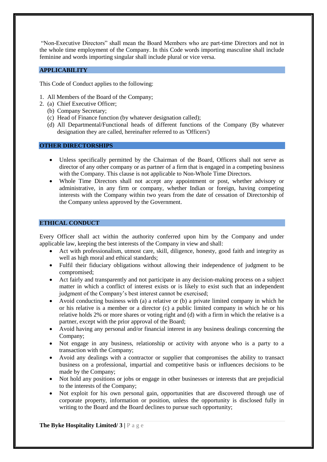"Non-Executive Directors" shall mean the Board Members who are part-time Directors and not in the whole time employment of the Company. In this Code words importing masculine shall include feminine and words importing singular shall include plural or vice versa.

## **APPLICABILITY**

This Code of Conduct applies to the following:

- 1. All Members of the Board of the Company;
- 2. (a) Chief Executive Officer;
	- (b) Company Secretary;
	- (c) Head of Finance function (by whatever designation called);
	- (d) All Departmental/Functional heads of different functions of the Company (By whatever designation they are called, hereinafter referred to as 'Officers')

## **OTHER DIRECTORSHIPS**

- Unless specifically permitted by the Chairman of the Board, Officers shall not serve as director of any other company or as partner of a firm that is engaged in a competing business with the Company. This clause is not applicable to Non-Whole Time Directors.
- Whole Time Directors shall not accept any appointment or post, whether advisory or administrative, in any firm or company, whether Indian or foreign, having competing interests with the Company within two years from the date of cessation of Directorship of the Company unless approved by the Government.

## **ETHICAL CONDUCT**

Every Officer shall act within the authority conferred upon him by the Company and under applicable law, keeping the best interests of the Company in view and shall:

- Act with professionalism, utmost care, skill, diligence, honesty, good faith and integrity as well as high moral and ethical standards;
- Fulfil their fiduciary obligations without allowing their independence of judgment to be compromised;
- Act fairly and transparently and not participate in any decision-making process on a subject matter in which a conflict of interest exists or is likely to exist such that an independent judgment of the Company's best interest cannot be exercised;
- Avoid conducting business with (a) a relative or (b) a private limited company in which he or his relative is a member or a director (c) a public limited company in which he or his relative holds 2% or more shares or voting right and (d) with a firm in which the relative is a partner, except with the prior approval of the Board;
- Avoid having any personal and/or financial interest in any business dealings concerning the Company;
- Not engage in any business, relationship or activity with anyone who is a party to a transaction with the Company;
- Avoid any dealings with a contractor or supplier that compromises the ability to transact business on a professional, impartial and competitive basis or influences decisions to be made by the Company;
- Not hold any positions or jobs or engage in other businesses or interests that are prejudicial to the interests of the Company;
- Not exploit for his own personal gain, opportunities that are discovered through use of corporate property, information or position, unless the opportunity is disclosed fully in writing to the Board and the Board declines to pursue such opportunity;

**The Byke Hospitality Limited/ 3** |  $P$  a g e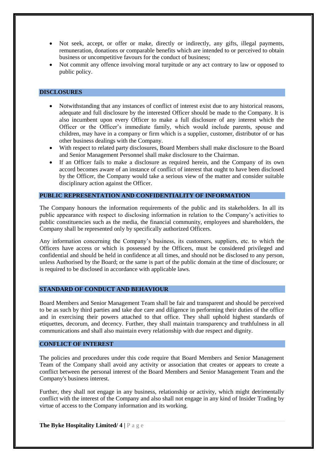- Not seek, accept, or offer or make, directly or indirectly, any gifts, illegal payments, remuneration, donations or comparable benefits which are intended to or perceived to obtain business or uncompetitive favours for the conduct of business;
- Not commit any offence involving moral turpitude or any act contrary to law or opposed to public policy.

### **DISCLOSURES**

- Notwithstanding that any instances of conflict of interest exist due to any historical reasons, adequate and full disclosure by the interested Officer should be made to the Company. It is also incumbent upon every Officer to make a full disclosure of any interest which the Officer or the Officer's immediate family, which would include parents, spouse and children, may have in a company or firm which is a supplier, customer, distributor of or has other business dealings with the Company.
- With respect to related party disclosures, Board Members shall make disclosure to the Board and Senior Management Personnel shall make disclosure to the Chairman.
- If an Officer fails to make a disclosure as required herein, and the Company of its own accord becomes aware of an instance of conflict of interest that ought to have been disclosed by the Officer, the Company would take a serious view of the matter and consider suitable disciplinary action against the Officer.

#### **PUBLIC REPRESENTATION AND CONFIDENTIALITY OF INFORMATION**

The Company honours the information requirements of the public and its stakeholders. In all its public appearance with respect to disclosing information in relation to the Company's activities to public constituencies such as the media, the financial community, employees and shareholders, the Company shall be represented only by specifically authorized Officers.

Any information concerning the Company's business, its customers, suppliers, etc. to which the Officers have access or which is possessed by the Officers, must be considered privileged and confidential and should be held in confidence at all times, and should not be disclosed to any person, unless Authorised by the Board; or the same is part of the public domain at the time of disclosure; or is required to be disclosed in accordance with applicable laws.

#### **STANDARD OF CONDUCT AND BEHAVIOUR**

Board Members and Senior Management Team shall be fair and transparent and should be perceived to be as such by third parties and take due care and diligence in performing their duties of the office and in exercising their powers attached to that office. They shall uphold highest standards of etiquettes, decorum, and decency. Further, they shall maintain transparency and truthfulness in all communications and shall also maintain every relationship with due respect and dignity.

#### **CONFLICT OF INTEREST**

The policies and procedures under this code require that Board Members and Senior Management Team of the Company shall avoid any activity or association that creates or appears to create a conflict between the personal interest of the Board Members and Senior Management Team and the Company's business interest.

Further, they shall not engage in any business, relationship or activity, which might detrimentally conflict with the interest of the Company and also shall not engage in any kind of Insider Trading by virtue of access to the Company information and its working.

**The Byke Hospitality Limited/ 4 |** P a g e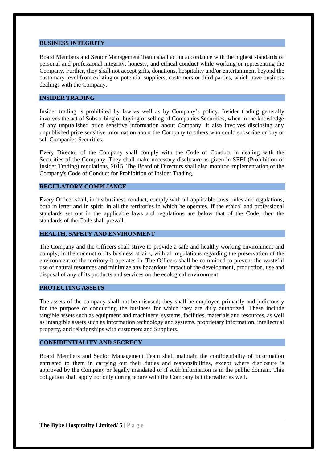#### **BUSINESS INTEGRITY**

Board Members and Senior Management Team shall act in accordance with the highest standards of personal and professional integrity, honesty, and ethical conduct while working or representing the Company. Further, they shall not accept gifts, donations, hospitality and/or entertainment beyond the customary level from existing or potential suppliers, customers or third parties, which have business dealings with the Company.

## **INSIDER TRADING**

Insider trading is prohibited by law as well as by Company's policy. Insider trading generally involves the act of Subscribing or buying or selling of Companies Securities, when in the knowledge of any unpublished price sensitive information about Company. It also involves disclosing any unpublished price sensitive information about the Company to others who could subscribe or buy or sell Companies Securities.

Every Director of the Company shall comply with the Code of Conduct in dealing with the Securities of the Company. They shall make necessary disclosure as given in SEBI (Prohibition of Insider Trading) regulations, 2015. The Board of Directors shall also monitor implementation of the Company's Code of Conduct for Prohibition of Insider Trading.

#### **REGULATORY COMPLIANCE**

Every Officer shall, in his business conduct, comply with all applicable laws, rules and regulations, both in letter and in spirit, in all the territories in which he operates. If the ethical and professional standards set out in the applicable laws and regulations are below that of the Code, then the standards of the Code shall prevail.

#### **HEALTH, SAFETY AND ENVIRONMENT**

The Company and the Officers shall strive to provide a safe and healthy working environment and comply, in the conduct of its business affairs, with all regulations regarding the preservation of the environment of the territory it operates in. The Officers shall be committed to prevent the wasteful use of natural resources and minimize any hazardous impact of the development, production, use and disposal of any of its products and services on the ecological environment.

#### **PROTECTING ASSETS**

The assets of the company shall not be misused; they shall be employed primarily and judiciously for the purpose of conducting the business for which they are duly authorized. These include tangible assets such as equipment and machinery, systems, facilities, materials and resources, as well as intangible assets such as information technology and systems, proprietary information, intellectual property, and relationships with customers and Suppliers.

#### **CONFIDENTIALITY AND SECRECY**

Board Members and Senior Management Team shall maintain the confidentiality of information entrusted to them in carrying out their duties and responsibilities, except where disclosure is approved by the Company or legally mandated or if such information is in the public domain. This obligation shall apply not only during tenure with the Company but thereafter as well.